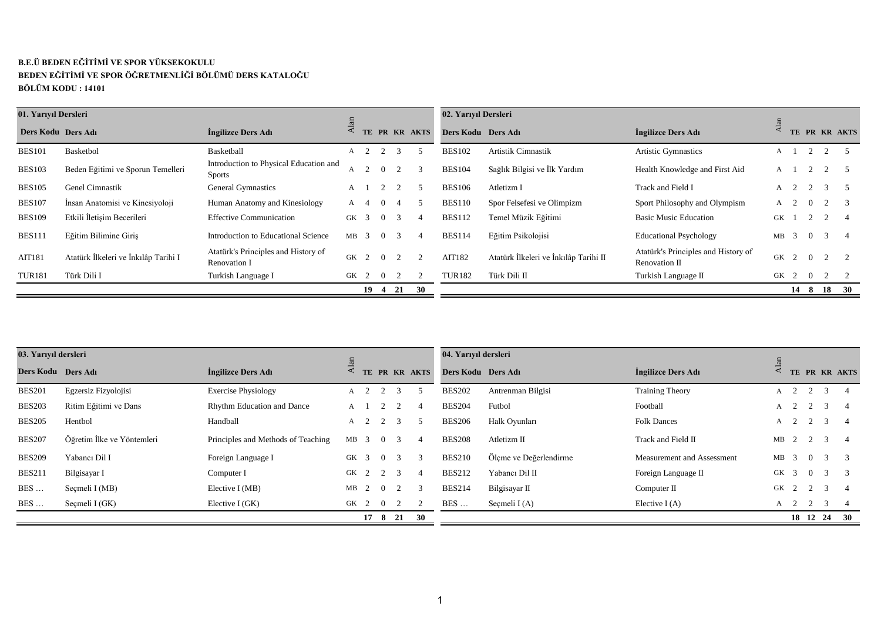## **B.E.Ü BEDEN EĞİTİMİ VE SPOR YÜKSEKOKULU BEDEN EĞİTİMİ VE SPOR ÖĞRETMENLİĞİ BÖLÜMÜ DERS KATALOĞU BÖLÜM KODU : 14101**

| 01. Yarıyıl Dersleri |                                      |                                                         |              |               |                |               |    | 02. Yarıyıl Dersleri |                                       |                                                      |    |               |          |               |            |
|----------------------|--------------------------------------|---------------------------------------------------------|--------------|---------------|----------------|---------------|----|----------------------|---------------------------------------|------------------------------------------------------|----|---------------|----------|---------------|------------|
| Ders Kodu Ders Adı   |                                      | Ingilizce Ders Adı                                      |              |               |                | TE PR KR AKTS |    | Ders Kodu Ders Adı   |                                       | Ingilizce Ders Adı                                   |    |               |          |               | PR KR AKTS |
| <b>BES101</b>        | Basketbol                            | Basketball                                              |              |               |                | $\mathcal{R}$ |    | <b>BES102</b>        | Artistik Cimnastik                    | <b>Artistic Gymnastics</b>                           |    |               |          |               |            |
| <b>BES103</b>        | Beden Eğitimi ve Sporun Temelleri    | Introduction to Physical Education and<br><b>Sports</b> |              |               | $\Omega$       |               |    | <b>BES104</b>        | Sağlık Bilgisi ve İlk Yardım          | Health Knowledge and First Aid                       | A  |               |          |               |            |
| <b>BES105</b>        | Genel Cimnastik                      | <b>General Gymnastics</b>                               | $\mathsf{A}$ |               |                |               |    | <b>BES106</b>        | Atletizm I                            | Track and Field I                                    | А  | 2             |          | $\mathcal{R}$ |            |
| <b>BES107</b>        | İnsan Anatomisi ve Kinesiyoloji      | Human Anatomy and Kinesiology                           | A 4          |               |                |               |    | <b>BES110</b>        | Spor Felsefesi ve Olimpizm            | Sport Philosophy and Olympism                        | A  |               | $\Omega$ |               |            |
| <b>BES109</b>        | Etkili İletisim Becerileri           | <b>Effective Communication</b>                          | GK           | $\mathcal{R}$ | $\sim 0$       | $\mathcal{R}$ |    | <b>BES112</b>        | Temel Müzik Eğitimi                   | <b>Basic Music Education</b>                         | GK |               |          |               |            |
| <b>BES111</b>        | Eğitim Bilimine Giris                | Introduction to Educational Science                     | $MB$ 3       |               | $\overline{0}$ | $\mathcal{R}$ | 4  | <b>BES114</b>        | Eğitim Psikolojisi                    | <b>Educational Psychology</b>                        | MВ | $\mathcal{R}$ | $\Omega$ | 3             |            |
| AIT181               | Atatürk İlkeleri ve İnkılâp Tarihi I | Atatürk's Principles and History of<br>Renovation I     | GK           |               | $2 \ 0$        |               |    | AIT182               | Atatürk İlkeleri ve İnkılâp Tarihi II | Atatürk's Principles and History of<br>Renovation II |    | GK 2          | $\sim 0$ |               |            |
| <b>TUR181</b>        | Türk Dili I                          | Turkish Language I                                      | GK 2         |               |                |               |    | <b>TUR182</b>        | Türk Dili II                          | Turkish Language II                                  |    | GK 2 0        |          |               |            |
|                      |                                      |                                                         |              |               | 19 4 21        |               | 30 |                      |                                       |                                                      |    | 14 8          |          | - 18          | <b>30</b>  |

| Ders Kodu Ders Adı   |                                      | Ingilizce Ders Adı                                      | Alat         |                |                |                | TE PR KR AKTS           | Ders Kodu Ders Adı   |                                       | Ingilizce Ders Adı                                   | $\overline{A}$ |                         |                     |                | TE PR KR AKTS  |
|----------------------|--------------------------------------|---------------------------------------------------------|--------------|----------------|----------------|----------------|-------------------------|----------------------|---------------------------------------|------------------------------------------------------|----------------|-------------------------|---------------------|----------------|----------------|
| <b>BES101</b>        | Basketbol                            | Basketball                                              |              |                | A 2 2 3        |                | 5                       | <b>BES102</b>        | Artistik Cimnastik                    | <b>Artistic Gymnastics</b>                           | $A \quad 1$    |                         | 2                   | 2              | $\sqrt{5}$     |
| <b>BES103</b>        | Beden Eğitimi ve Sporun Temelleri    | Introduction to Physical Education and<br><b>Sports</b> | A            | 2              | $\overline{0}$ | 2              | $\overline{3}$          | <b>BES104</b>        | Sağlık Bilgisi ve İlk Yardım          | Health Knowledge and First Aid                       |                |                         | $A \quad 1 \quad 2$ | 2              | - 5            |
| <b>BES105</b>        | Genel Cimnastik                      | <b>General Gymnastics</b>                               | A            | $\overline{1}$ | 2              | 2              | 5                       | <b>BES106</b>        | Atletizm I                            | Track and Field I                                    | A              | 2                       | 2                   | $\overline{3}$ | - 5            |
| <b>BES107</b>        | İnsan Anatomisi ve Kinesiyoloji      | Human Anatomy and Kinesiology                           | $\mathbf{A}$ | $\overline{4}$ | $\Omega$       | $\overline{4}$ | - 5                     | <b>BES110</b>        | Spor Felsefesi ve Olimpizm            | Sport Philosophy and Olympism                        |                | $A \quad 2$             | $\Omega$            | 2              | 3              |
| <b>BES109</b>        | Etkili İletişim Becerileri           | <b>Effective Communication</b>                          | GK 3         |                | $\overline{0}$ | 3              | $\overline{4}$          | <b>BES112</b>        | Temel Müzik Eğitimi                   | <b>Basic Music Education</b>                         | GK             |                         | 2                   | 2              | 4              |
| <b>BES111</b>        | Eğitim Bilimine Giriş                | Introduction to Educational Science                     | $MB$ 3       |                | $\Omega$       | 3              | $\overline{4}$          | <b>BES114</b>        | Eğitim Psikolojisi                    | <b>Educational Psychology</b>                        | $MB$ 3         |                         | $\Omega$            | $\overline{3}$ | $\overline{4}$ |
| AIT181               | Atatürk İlkeleri ve İnkılâp Tarihi I | Atatürk's Principles and History of<br>Renovation I     |              |                | GK 2 0 2       |                | 2                       | AIT182               | Atatürk İlkeleri ve İnkılâp Tarihi II | Atatürk's Principles and History of<br>Renovation II | GK 2           |                         | $\overline{0}$      | 2              | 2              |
| <b>TUR181</b>        | Türk Dili I                          | Turkish Language I                                      | GK 2         |                | $\overline{0}$ | 2              | 2                       | <b>TUR182</b>        | Türk Dili II                          | Turkish Language II                                  | GK 2           |                         | $\overline{0}$      | 2              | 2              |
|                      |                                      |                                                         |              |                |                |                | $19$ 4 21 30            |                      |                                       |                                                      |                |                         |                     | 14 8 18 30     |                |
|                      |                                      |                                                         |              |                |                |                |                         |                      |                                       |                                                      |                |                         |                     |                |                |
| 03. Yarıyıl dersleri |                                      |                                                         |              |                |                |                |                         | 04. Yarıyıl dersleri |                                       |                                                      |                |                         |                     |                |                |
| Ders Kodu Ders Adı   |                                      | Ingilizce Ders Adı                                      | Alan         |                |                |                | TE PR KR AKTS           | Ders Kodu Ders Adı   |                                       | İngilizce Ders Adı                                   | Alan           |                         |                     |                | TE PR KR AKTS  |
| <b>BES201</b>        | Egzersiz Fizyolojisi                 | <b>Exercise Physiology</b>                              | $\mathbf{A}$ | $\overline{2}$ | 2              | 3              | 5                       | <b>BES202</b>        | Antrenman Bilgisi                     | <b>Training Theory</b>                               |                | $A \quad 2$             | 2                   | $\mathcal{E}$  | $\overline{4}$ |
| <b>BES203</b>        | Ritim Eğitimi ve Dans                | Rhythm Education and Dance                              | $\mathbf{A}$ | $\overline{1}$ | 2              | 2              | $\overline{4}$          | <b>BES204</b>        | Futbol                                | Football                                             | A              | 2                       | 2                   | 3              | $\overline{4}$ |
| <b>BES205</b>        | Hentbol                              | Handball                                                |              | $A \quad 2$    | 2              | 3              | - 5                     | <b>BES206</b>        | Halk Oyunları                         | <b>Folk Dances</b>                                   |                | $A \quad 2$             | 2                   | 3              | $\overline{4}$ |
| <b>BES207</b>        | Öğretim İlke ve Yöntemleri           | Principles and Methods of Teaching                      | $MB$ 3       |                | $\Omega$       | 3              | $\overline{4}$          | <b>BES208</b>        | Atletizm II                           | Track and Field II                                   | MB             | 2                       | 2                   | 3              | $\overline{4}$ |
| <b>BES209</b>        | Yabancı Dil I                        | Foreign Language I                                      | GK 3         |                | $\theta$       | 3              | 3                       | <b>BES210</b>        | Ölçme ve Değerlendirme                | Measurement and Assessment                           | MB             | -3                      | $\Omega$            | $\mathcal{R}$  | 3              |
| <b>BES211</b>        | Bilgisayar I                         | Computer I                                              | GK 2         |                | 2              | 3              | $\overline{4}$          | <b>BES212</b>        | Yabancı Dil II                        | Foreign Language II                                  | GK             | $\overline{\mathbf{3}}$ | $\overline{0}$      | 3              | 3              |
| <b>BES</b>           | Secmeli I (MB)                       | Elective $I(MB)$                                        | MB           | $\overline{2}$ | $\overline{0}$ | 2              | $\overline{\mathbf{3}}$ | <b>BES214</b>        | Bilgisayar II                         | Computer II                                          | GK 2           |                         | 2                   | $\overline{3}$ | 4              |
| $BES$                | Seçmeli I (GK)                       | Elective I (GK)                                         | GK 2         |                | $\overline{0}$ | 2              | 2                       | <b>BES</b>           | Seçmeli I(A)                          | Elective $I(A)$                                      |                | $A \quad 2$             | 2                   | 3              | 4              |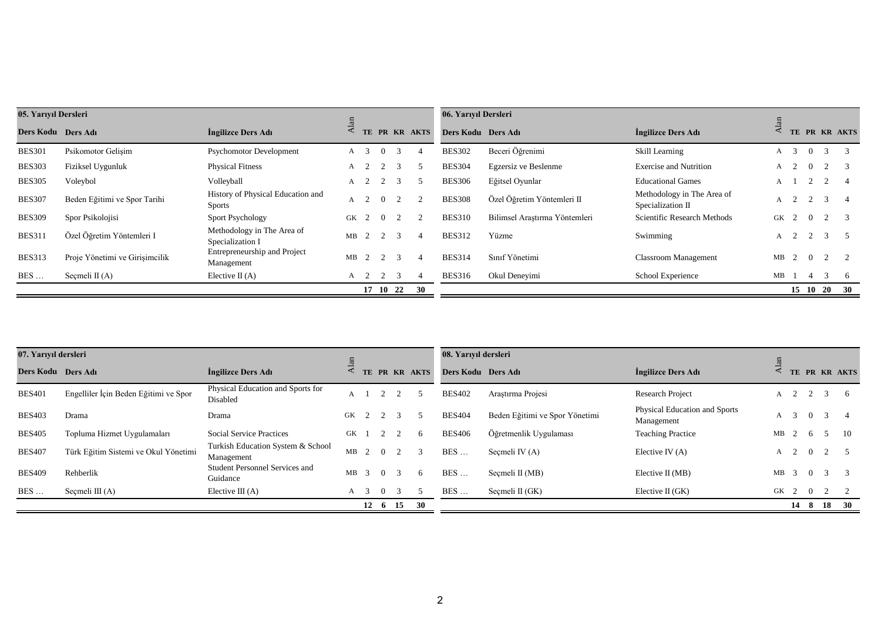| 05. Yarıyıl Dersleri |                                       |                                                    |             |                     |                |                |                | 06. Yarıyıl Dersleri |                                |                                                 |                  |                |                |                |                |
|----------------------|---------------------------------------|----------------------------------------------------|-------------|---------------------|----------------|----------------|----------------|----------------------|--------------------------------|-------------------------------------------------|------------------|----------------|----------------|----------------|----------------|
| Ders Kodu Ders Adı   |                                       | Ingilizce Ders Adı                                 | Alan        |                     |                |                | TE PR KR AKTS  | Ders Kodu Ders Adı   |                                | Ingilizce Ders Adı                              | $_{\rm Alan}$    |                |                |                | TE PR KR AKTS  |
| <b>BES301</b>        | Psikomotor Gelişim                    | <b>Psychomotor Development</b>                     | $A \quad 3$ |                     | $\overline{0}$ | $\overline{3}$ | $\overline{4}$ | <b>BES302</b>        | Beceri Öğrenimi                | Skill Learning                                  | $\mathbf{A}$     | $\overline{3}$ | $\Omega$       | 3              | 3              |
| <b>BES303</b>        | Fiziksel Uygunluk                     | <b>Physical Fitness</b>                            | A           | 2                   | 2              | 3              | -5             | <b>BES304</b>        | Egzersiz ve Beslenme           | <b>Exercise and Nutrition</b>                   | A                | 2              | $\Omega$       | 2              | -3             |
| <b>BES305</b>        | Voleybol                              | Volleyball                                         | A           | 2                   | 2              | 3              | -5             | <b>BES306</b>        | Eğitsel Oyunlar                | <b>Educational Games</b>                        | A                |                | 2              | 2              | $\overline{4}$ |
| <b>BES307</b>        | Beden Eğitimi ve Spor Tarihi          | History of Physical Education and<br><b>Sports</b> |             | $A \quad 2$         | $\overline{0}$ | 2              | $\overline{2}$ | <b>BES308</b>        | Özel Öğretim Yöntemleri II     | Methodology in The Area of<br>Specialization II |                  | $A \quad 2$    | $\overline{2}$ | 3              | $\overline{4}$ |
| <b>BES309</b>        | Spor Psikolojisi                      | <b>Sport Psychology</b>                            | GK          | 2                   | $\overline{0}$ | 2              | $\overline{2}$ | <b>BES310</b>        | Bilimsel Araştırma Yöntemleri  | Scientific Research Methods                     | GK               | 2              | $\overline{0}$ | 2              | -3             |
| <b>BES311</b>        | Özel Öğretim Yöntemleri I             | Methodology in The Area of<br>Specialization I     | $MB$ 2      |                     | 2              | 3              | $\overline{4}$ | <b>BES312</b>        | Yüzme                          | Swimming                                        | A                | 2              | 2              | $\overline{3}$ | 5              |
| <b>BES313</b>        | Proje Yönetimi ve Girişimcilik        | Entrepreneurship and Project<br>Management         | $MB$ 2      |                     | 2              | $\overline{3}$ | $\overline{4}$ | <b>BES314</b>        | Sınıf Yönetimi                 | <b>Classroom Management</b>                     | MB               | 2              | $\overline{0}$ | 2              | 2              |
| BES                  | Seçmeli II (A)                        | Elective $\Pi(A)$                                  |             | $A \quad 2 \quad 2$ |                | $\overline{3}$ | $\overline{4}$ | <b>BES316</b>        | Okul Deneyimi                  | School Experience                               | $MB$ 1           |                | $\overline{4}$ | 3              | - 6            |
|                      |                                       |                                                    |             |                     | 17 10 22       |                | 30             |                      |                                |                                                 |                  |                |                | 15 10 20       | 30             |
| 07. Yarıyıl dersleri |                                       |                                                    |             |                     |                |                |                | 08. Yarıyıl dersleri |                                |                                                 |                  |                |                |                |                |
|                      |                                       |                                                    | Alan        |                     |                |                | TE PR KR AKTS  |                      |                                |                                                 | $\mathbf{A}$ lan |                |                |                | TE PR KR AKTS  |
| Ders Kodu Ders Adı   |                                       | Ingilizce Ders Adı                                 |             |                     |                |                |                | Ders Kodu Ders Adı   |                                | İngilizce Ders Adı                              |                  |                |                |                |                |
| <b>BES401</b>        | Engelliler İçin Beden Eğitimi ve Spor | Physical Education and Sports for<br>Disabled      | A           |                     | $2^{\circ}$    | 2              | $\overline{5}$ | <b>BES402</b>        | Araștırma Projesi              | <b>Research Project</b>                         |                  | $A \quad 2$    | $\overline{2}$ | 3              | -6             |
| <b>BES403</b>        | Drama                                 | Drama                                              | GK          | 2                   | 2              | 3              | $\sim$         | <b>BES404</b>        | Beden Eğitimi ve Spor Yönetimi | Physical Education and Sports<br>Management     | A                | $\overline{3}$ | $\overline{0}$ | 3              |                |
| <b>BES405</b>        | Topluma Hizmet Uygulamaları           | <b>Social Service Practices</b>                    | GK          |                     | 2              | 2              | -6             | <b>BES406</b>        | Öğretmenlik Uygulaması         | <b>Teaching Practice</b>                        | MB               | 2              | 6              | -5             | 10             |
| <b>BES407</b>        | Türk Eğitim Sistemi ve Okul Yönetimi  | Turkish Education System & School<br>Management    | MB          | 2                   | $\overline{0}$ | 2              | 3              | BES                  | Seçmeli IV (A)                 | Elective IV $(A)$                               | A                | 2              | $\overline{0}$ | 2              | $\sqrt{5}$     |
| <b>BES409</b>        | Rehberlik                             | Student Personnel Services and<br>Guidance         | MB          | $\overline{3}$      | $\overline{0}$ | 3              | 6              | BES                  | Seçmeli II (MB)                | Elective II (MB)                                | MB               | 3              | $\Omega$       | 3              | -3             |
| <b>BES</b>           | Seçmeli III $(A)$                     |                                                    |             |                     | $\overline{0}$ | $\overline{3}$ | -5             | BES                  |                                |                                                 |                  |                |                |                |                |
|                      |                                       | Elective III $(A)$                                 | $A \quad 3$ |                     |                |                |                |                      | Seçmeli II (GK)                | Elective II (GK)                                | GK 2 0           |                |                | 2              |                |

| 07. Yarıyıl dersleri |                                       |                                                   |    |          |                 |               | 08. Yarıyıl dersleri |                                |                                             |      |                |                |               |            |
|----------------------|---------------------------------------|---------------------------------------------------|----|----------|-----------------|---------------|----------------------|--------------------------------|---------------------------------------------|------|----------------|----------------|---------------|------------|
| Ders Kodu Ders Adı   |                                       | Ingilizce Ders Adı                                |    |          |                 | TE PR KR AKTS | Ders Kodu Ders Adı   |                                | Ingilizce Ders Adı                          |      | ГE -           |                |               | PR KR AKTS |
| <b>BES401</b>        | Engelliler İçin Beden Eğitimi ve Spor | Physical Education and Sports for<br>Disabled     |    |          |                 |               | <b>BES402</b>        | Arastırma Projesi              | Research Project                            | A    |                |                | $\mathcal{R}$ |            |
| <b>BES403</b>        | Drama                                 | Drama                                             | GK |          |                 |               | <b>BES404</b>        | Beden Eğitimi ve Spor Yönetimi | Physical Education and Sports<br>Management | A    | $\mathcal{R}$  | $\Omega$       |               |            |
| <b>BES405</b>        | Topluma Hizmet Uygulamaları           | <b>Social Service Practices</b>                   | GK |          |                 |               | <b>BES406</b>        | Öğretmenlik Uygulaması         | <b>Teaching Practice</b>                    | МB   |                | - 6            | -5            | - 10       |
| <b>BES407</b>        | Türk Eğitim Sistemi ve Okul Yönetimi  | Turkish Education System & School<br>Management   | MB | $\Omega$ |                 |               | <b>BES</b>           | Secmeli IV $(A)$               | Elective IV $(A)$                           | A    | $\overline{2}$ | $\overline{0}$ |               |            |
| <b>BES409</b>        | Rehberlik                             | <b>Student Personnel Services and</b><br>Guidance | MВ | $\Omega$ |                 | <sub>6</sub>  | <b>BES</b><br>.      | Secmeli II (MB)                | Elective $II(MB)$                           | МB   | $\mathcal{R}$  | $\Omega$       | 3             |            |
| <b>BES</b>           | Seçmeli III $(A)$                     | Elective III $(A)$                                | A  | $\Omega$ |                 |               | <b>BES</b>           | Secmeli $II(GK)$               | Elective II $(GK)$                          | GK 2 |                | $\overline{0}$ |               |            |
|                      |                                       |                                                   |    |          | $12 \t 6 \t 15$ | <b>30</b>     |                      |                                |                                             |      |                |                | 14 8 18       | - 30       |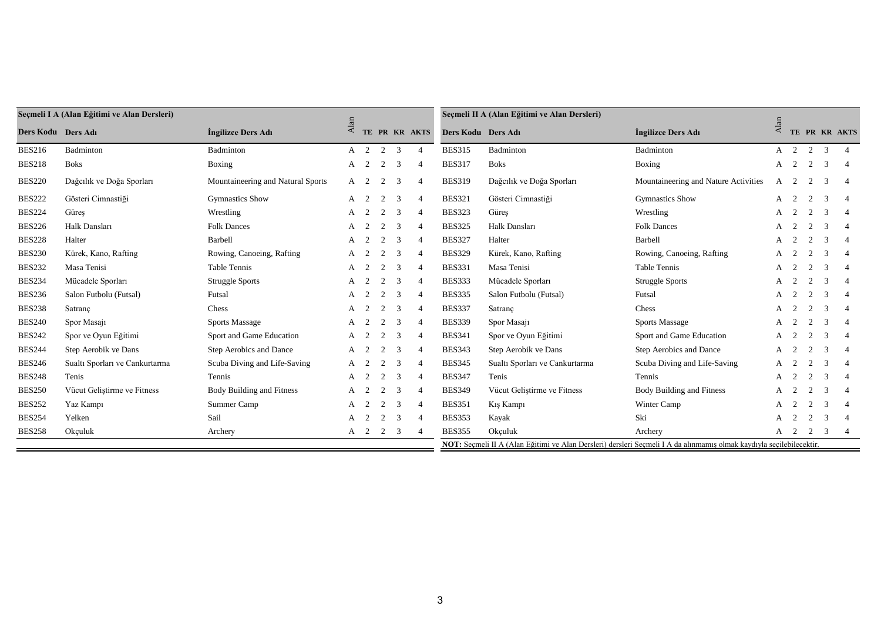|                      | Seçmeli I A (Alan Eğitimi ve Alan Dersleri) |                                   |                    |   |         |                |                |                    | Seçmeli II A (Alan Eğitimi ve Alan Dersleri)                                                                         |                                      |             |                     |                |                |                |
|----------------------|---------------------------------------------|-----------------------------------|--------------------|---|---------|----------------|----------------|--------------------|----------------------------------------------------------------------------------------------------------------------|--------------------------------------|-------------|---------------------|----------------|----------------|----------------|
| Ders Kodu – Ders Adı |                                             | Ingilizce Ders Adı                | $\overline{A}$ lar |   |         |                | TE PR KR AKTS  | Ders Kodu Ders Adı |                                                                                                                      | Ingilizce Ders Adı                   | Ala         |                     |                |                | TE PR KR AKTS  |
| <b>BES216</b>        | Badminton                                   | Badminton                         |                    |   | A 2 2 3 |                | $\overline{4}$ | <b>BES315</b>      | Badminton                                                                                                            | Badminton                            |             | $A \quad 2 \quad 2$ |                | 3              | $\overline{4}$ |
| <b>BES218</b>        | <b>Boks</b>                                 | Boxing                            | A                  | 2 | 2       | $\overline{3}$ | $\overline{4}$ | <b>BES317</b>      | <b>Boks</b>                                                                                                          | Boxing                               | $A \quad 2$ |                     | 2              | 3              |                |
| <b>BES220</b>        | Dağcılık ve Doğa Sporları                   | Mountaineering and Natural Sports | A                  | 2 | 2       | 3              | $\overline{4}$ | <b>BES319</b>      | Dağcılık ve Doğa Sporları                                                                                            | Mountaineering and Nature Activities | A           | 2                   | 2              | 3              |                |
| <b>BES222</b>        | Gösteri Cimnastiği                          | <b>Gymnastics Show</b>            | A                  | 2 | 2       | $\overline{3}$ | $\overline{4}$ | <b>BES321</b>      | Gösteri Cimnastiği                                                                                                   | <b>Gymnastics Show</b>               | A           | $\overline{2}$      | 2              | -3             | $\overline{4}$ |
| <b>BES224</b>        | Güres                                       | Wrestling                         | $A \quad 2$        |   |         | 3              | $\overline{4}$ | <b>BES323</b>      | Güres                                                                                                                | Wrestling                            | $A \quad 2$ |                     |                | 3              |                |
| <b>BES226</b>        | Halk Dansları                               | <b>Folk Dances</b>                | A                  | 2 | 2       | $\overline{3}$ | $\overline{4}$ | <b>BES325</b>      | Halk Dansları                                                                                                        | <b>Folk Dances</b>                   | A           | 2                   | 2              | 3              | $\overline{4}$ |
| <b>BES228</b>        | Halter                                      | Barbell                           | A                  | 2 | 2       | $\overline{3}$ |                | <b>BES327</b>      | Halter                                                                                                               | Barbell                              | A           | 2                   | 2              | 3              |                |
| <b>BES230</b>        | Kürek, Kano, Rafting                        | Rowing, Canoeing, Rafting         | A                  | 2 | 2       | $\overline{3}$ | $\overline{4}$ | <b>BES329</b>      | Kürek, Kano, Rafting                                                                                                 | Rowing, Canoeing, Rafting            | A           | 2                   | 2              | 3              | $\overline{4}$ |
| <b>BES232</b>        | Masa Tenisi                                 | Table Tennis                      | A                  | 2 | 2       | $\overline{3}$ |                | <b>BES331</b>      | Masa Tenisi                                                                                                          | Table Tennis                         | A           | 2                   | 2              | 3              |                |
| <b>BES234</b>        | Mücadele Sporları                           | <b>Struggle Sports</b>            | A                  | 2 | 2       | $\overline{3}$ | $\overline{4}$ | <b>BES333</b>      | Mücadele Sporları                                                                                                    | <b>Struggle Sports</b>               | А           | 2                   | $\overline{2}$ | 3              | $\overline{4}$ |
| <b>BES236</b>        | Salon Futbolu (Futsal)                      | Futsal                            | A                  | 2 | 2       | $\overline{3}$ | $\overline{4}$ | <b>BES335</b>      | Salon Futbolu (Futsal)                                                                                               | Futsal                               | A           | 2                   | $\mathcal{L}$  | -3             |                |
| <b>BES238</b>        | Satranç                                     | Chess                             | A                  | 2 | 2       | $\overline{3}$ | $\overline{4}$ | <b>BES337</b>      | Satranç                                                                                                              | Chess                                | A           | 2                   | 2              | -3             | $\overline{4}$ |
| <b>BES240</b>        | Spor Masaji                                 | <b>Sports Massage</b>             | A                  | 2 | 2       | 3              | $\overline{4}$ | <b>BES339</b>      | Spor Masaji                                                                                                          | <b>Sports Massage</b>                | A           |                     | $\mathcal{L}$  | 3              |                |
| <b>BES242</b>        | Spor ve Oyun Eğitimi                        | Sport and Game Education          | A                  | 2 | 2       | 3              | $\overline{4}$ | <b>BES341</b>      | Spor ve Oyun Eğitimi                                                                                                 | Sport and Game Education             | А           | 2                   | 2              | -3             | $\overline{4}$ |
| <b>BES244</b>        | Step Aerobik ve Dans                        | Step Aerobics and Dance           | A                  | 2 | 2       | 3              |                | <b>BES343</b>      | Step Aerobik ve Dans                                                                                                 | Step Aerobics and Dance              | А           | 2                   | 2              | $\mathcal{R}$  |                |
| <b>BES246</b>        | Sualtı Sporları ve Cankurtarma              | Scuba Diving and Life-Saving      | A                  | 2 | 2       | 3              | $\overline{4}$ | <b>BES345</b>      | Sualtı Sporları ve Cankurtarma                                                                                       | Scuba Diving and Life-Saving         | A           | 2                   |                | 3              | $\overline{4}$ |
| <b>BES248</b>        | Tenis                                       | Tennis                            | A                  | 2 | 2       | 3              | $\overline{4}$ | <b>BES347</b>      | Tenis                                                                                                                | Tennis                               | A           |                     |                | $\mathcal{R}$  |                |
| <b>BES250</b>        | Vücut Gelistirme ve Fitness                 | Body Building and Fitness         | A                  | 2 | 2       | $\overline{3}$ | $\overline{4}$ | <b>BES349</b>      | Vücut Gelistirme ve Fitness                                                                                          | Body Building and Fitness            | А           |                     |                | 3              | $\overline{4}$ |
| <b>BES252</b>        | Yaz Kampı                                   | Summer Camp                       | A                  |   |         | 3              | $\overline{4}$ | <b>BES351</b>      | Kış Kampı                                                                                                            | Winter Camp                          |             |                     |                | $\mathcal{R}$  |                |
| <b>BES254</b>        | Yelken                                      | Sail                              | A                  | 2 | 2       | $\overline{3}$ | $\overline{4}$ | <b>BES353</b>      | Kayak                                                                                                                | Ski                                  | A           |                     |                | 3              |                |
| <b>BES258</b>        | Okçuluk                                     | Archery                           | A 2                |   | 2       | - 3            |                | <b>BES355</b>      | Okçuluk                                                                                                              | Archery                              | $A \quad 2$ |                     | 2              | $\overline{3}$ |                |
|                      |                                             |                                   |                    |   |         |                |                |                    | NOT: Seçmeli II A (Alan Eğitimi ve Alan Dersleri) dersleri Seçmeli I A da alınmamış olmak kaydıyla seçilebilecektir. |                                      |             |                     |                |                |                |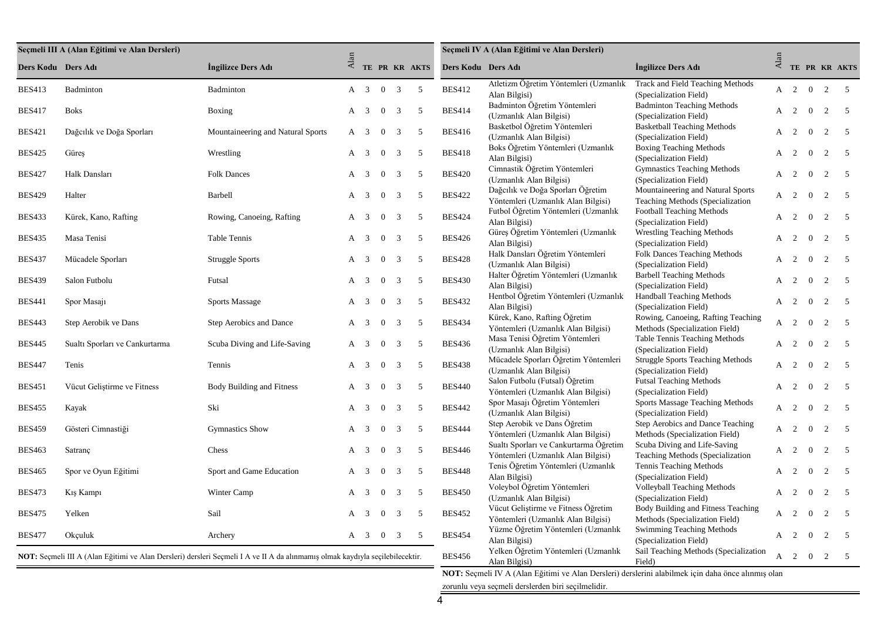|                    | Seçmeli III A (Alan Eğitimi ve Alan Dersleri) |                                                                                                                               |                 |                           |                |                |                 |                    | Seçmeli IV A (Alan Eğitimi ve Alan Dersleri)                                 |                                                                       |              |                     |                |                |                |
|--------------------|-----------------------------------------------|-------------------------------------------------------------------------------------------------------------------------------|-----------------|---------------------------|----------------|----------------|-----------------|--------------------|------------------------------------------------------------------------------|-----------------------------------------------------------------------|--------------|---------------------|----------------|----------------|----------------|
| Ders Kodu Ders Adı |                                               | Ingilizce Ders Adı                                                                                                            | $\mathbf{Alan}$ |                           |                |                | TE PR KR AKTS   | Ders Kodu Ders Adı |                                                                              | Ingilizce Ders Adı                                                    | Alan         |                     |                |                | TE PR KR AKTS  |
| <b>BES413</b>      | Badminton                                     | Badminton                                                                                                                     | $A \quad 3$     |                           | $\overline{0}$ | 3              | $5\overline{5}$ | <b>BES412</b>      | Atletizm Öğretim Yöntemleri (Uzmanlık<br>Alan Bilgisi)                       | Track and Field Teaching Methods<br>(Specialization Field)            |              | $A \quad 2 \quad 0$ |                | 2              | $5^{\circ}$    |
| <b>BES417</b>      | <b>Boks</b>                                   | Boxing                                                                                                                        | $A \quad 3$     |                           | $\overline{0}$ | 3              | 5               | <b>BES414</b>      | Badminton Öğretim Yöntemleri<br>(Uzmanlık Alan Bilgisi)                      | <b>Badminton Teaching Methods</b><br>(Specialization Field)           |              | $A \quad 2 \quad 0$ |                | 2              | $5^{\circ}$    |
| <b>BES421</b>      | Dağcılık ve Doğa Sporları                     | Mountaineering and Natural Sports                                                                                             | $A \quad 3$     |                           | $\bf{0}$       | 3              | $\overline{5}$  | <b>BES416</b>      | Basketbol Öğretim Yöntemleri<br>(Uzmanlık Alan Bilgisi)                      | <b>Basketball Teaching Methods</b><br>(Specialization Field)          |              | $A \quad 2 \quad 0$ |                | 2              | $5^{\circ}$    |
| <b>BES425</b>      | Güreş                                         | Wrestling                                                                                                                     | $A \quad 3$     |                           | $\overline{0}$ | 3              | 5               | <b>BES418</b>      | Boks Öğretim Yöntemleri (Uzmanlık<br>Alan Bilgisi)                           | <b>Boxing Teaching Methods</b><br>(Specialization Field)              |              | $A \quad 2$         | $\overline{0}$ | 2              | $\overline{5}$ |
| <b>BES427</b>      | Halk Dansları                                 | <b>Folk Dances</b>                                                                                                            | $A \quad 3$     |                           | $\overline{0}$ | 3              | 5               | <b>BES420</b>      | Cimnastik Öğretim Yöntemleri<br>(Uzmanlık Alan Bilgisi)                      | <b>Gymnastics Teaching Methods</b><br>(Specialization Field)          |              | $A \quad 2 \quad 0$ |                | 2              | $\overline{5}$ |
| <b>BES429</b>      | Halter                                        | Barbell                                                                                                                       | $A \quad 3$     |                           | $\overline{0}$ | 3              | $\overline{5}$  | <b>BES422</b>      | Dağcılık ve Doğa Sporları Öğretim<br>Yöntemleri (Uzmanlık Alan Bilgisi)      | Mountaineering and Natural Sports<br>Teaching Methods (Specialization | $\mathbf{A}$ | $\overline{2}$      | $\overline{0}$ | $\overline{2}$ | $\overline{5}$ |
| <b>BES433</b>      | Kürek, Kano, Rafting                          | Rowing, Canoeing, Rafting                                                                                                     | $A \quad 3$     |                           | $\bf{0}$       | 3              | $\overline{5}$  | <b>BES424</b>      | Futbol Öğretim Yöntemleri (Uzmanlık<br>Alan Bilgisi)                         | Football Teaching Methods<br>(Specialization Field)                   |              | A 2 0               |                | 2              | $\overline{5}$ |
| <b>BES435</b>      | Masa Tenisi                                   | Table Tennis                                                                                                                  | A               | $\overline{\mathbf{3}}$   | $\overline{0}$ | 3              | 5               | <b>BES426</b>      | Güreş Öğretim Yöntemleri (Uzmanlık<br>Alan Bilgisi)                          | <b>Wrestling Teaching Methods</b><br>(Specialization Field)           | A            | $\overline{2}$      | $\overline{0}$ | 2              | $\overline{5}$ |
| <b>BES437</b>      | Mücadele Sporları                             | <b>Struggle Sports</b>                                                                                                        | $A \quad 3$     |                           | $\overline{0}$ | 3              | - 5             | <b>BES428</b>      | Halk Dansları Öğretim Yöntemleri<br>(Uzmanlık Alan Bilgisi)                  | <b>Folk Dances Teaching Methods</b><br>(Specialization Field)         | A            | 2                   | $\overline{0}$ | 2              | $5\phantom{0}$ |
| <b>BES439</b>      | Salon Futbolu                                 | Futsal                                                                                                                        | A               | $\overline{\mathbf{3}}$   | $\overline{0}$ | 3              | - 5             | <b>BES430</b>      | Halter Öğretim Yöntemleri (Uzmanlık<br>Alan Bilgisi)                         | <b>Barbell Teaching Methods</b><br>(Specialization Field)             | A            | $\overline{2}$      | $\overline{0}$ | 2              | $\sim$ 5       |
| <b>BES441</b>      | Spor Masaji                                   | <b>Sports Massage</b>                                                                                                         | $A \quad 3$     |                           | $\bf{0}$       | 3              | - 5             | <b>BES432</b>      | Hentbol Öğretim Yöntemleri (Uzmanlık<br>Alan Bilgisi)                        | <b>Handball Teaching Methods</b><br>(Specialization Field)            | $\mathsf{A}$ | $\overline{2}$      | $\overline{0}$ | 2              | $\overline{5}$ |
| <b>BES443</b>      | Step Aerobik ve Dans                          | Step Aerobics and Dance                                                                                                       | $A \quad 3$     |                           | $\overline{0}$ | 3              | 5               | <b>BES434</b>      | Kürek, Kano, Rafting Öğretim<br>Yöntemleri (Uzmanlık Alan Bilgisi)           | Rowing, Canoeing, Rafting Teaching<br>Methods (Specialization Field)  | $\mathsf{A}$ | $\overline{2}$      | $\theta$       | $\mathfrak{D}$ | $\sim$ 5       |
| <b>BES445</b>      | Sualti Sporlari ve Cankurtarma                | Scuba Diving and Life-Saving                                                                                                  | A               | $\overline{\mathbf{3}}$   | $\overline{0}$ | 3              | 5               | <b>BES436</b>      | Masa Tenisi Öğretim Yöntemleri<br>(Uzmanlık Alan Bilgisi)                    | Table Tennis Teaching Methods<br>(Specialization Field)               | A            | $\overline{2}$      | $\overline{0}$ | $\overline{2}$ | $\overline{5}$ |
| <b>BES447</b>      | Tenis                                         | Tennis                                                                                                                        | A               | $\overline{3}$            | $\overline{0}$ | 3              | 5               | <b>BES438</b>      | Mücadele Sporları Öğretim Yöntemleri<br>(Uzmanlık Alan Bilgisi)              | <b>Struggle Sports Teaching Methods</b><br>(Specialization Field)     | A            | 2                   | $\overline{0}$ | 2              | $\overline{5}$ |
| <b>BES451</b>      | Vücut Geliştirme ve Fitness                   | <b>Body Building and Fitness</b>                                                                                              | A               | $\overline{\mathbf{3}}$   | $\overline{0}$ | 3              | 5               | <b>BES440</b>      | Salon Futbolu (Futsal) Öğretim<br>Yöntemleri (Uzmanlık Alan Bilgisi)         | <b>Futsal Teaching Methods</b><br>(Specialization Field)              | A            | 2                   | $\overline{0}$ | 2              | $5^{\circ}$    |
| <b>BES455</b>      | Kayak                                         | Ski                                                                                                                           | A               | $\overline{3}$            | $\mathbf{0}$   | 3              | 5               | <b>BES442</b>      | Spor Masajı Öğretim Yöntemleri<br>(Uzmanlık Alan Bilgisi)                    | Sports Massage Teaching Methods<br>(Specialization Field)             | $\mathbf{A}$ | 2                   | $\overline{0}$ | $\overline{2}$ | $\overline{5}$ |
| <b>BES459</b>      | Gösteri Cimnastiği                            | <b>Gymnastics Show</b>                                                                                                        | A               | $\overline{\mathbf{3}}$   | $\overline{0}$ | 3              | - 5             | <b>BES444</b>      | Step Aerobik ve Dans Öğretim<br>Yöntemleri (Uzmanlık Alan Bilgisi)           | Step Aerobics and Dance Teaching<br>Methods (Specialization Field)    | A            | 2                   | $\overline{0}$ | 2              | $5^{\circ}$    |
| <b>BES463</b>      | Satranç                                       | Chess                                                                                                                         | A               | $\overline{\mathbf{3}}$   | $\mathbf{0}$   | 3              | 5               | <b>BES446</b>      | Sualtı Sporları ve Cankurtarma Öğretim<br>Yöntemleri (Uzmanlık Alan Bilgisi) | Scuba Diving and Life-Saving<br>Teaching Methods (Specialization      | A            | $\overline{2}$      | $\overline{0}$ | 2              | $5\phantom{0}$ |
| <b>BES465</b>      | Spor ve Oyun Eğitimi                          | Sport and Game Education                                                                                                      | A               | $\overline{\phantom{a}3}$ | $\overline{0}$ | 3              | 5               | <b>BES448</b>      | Tenis Öğretim Yöntemleri (Uzmanlık<br>Alan Bilgisi)                          | Tennis Teaching Methods<br>(Specialization Field)                     |              | $A \quad 2 \quad 0$ |                | 2              | $\overline{5}$ |
| <b>BES473</b>      | Kış Kampı                                     | Winter Camp                                                                                                                   | A               | $\overline{\mathbf{3}}$   | $\overline{0}$ | 3              | 5               | <b>BES450</b>      | Voleybol Öğretim Yöntemleri<br>(Uzmanlık Alan Bilgisi)                       | <b>Volleyball Teaching Methods</b><br>(Specialization Field)          | $A \quad 2$  |                     | $\overline{0}$ | 2              | $\overline{5}$ |
| <b>BES475</b>      | Yelken                                        | Sail                                                                                                                          | A               | $\overline{\mathbf{3}}$   | $\overline{0}$ | $\overline{3}$ | 5               | <b>BES452</b>      | Vücut Geliştirme ve Fitness Öğretim<br>Yöntemleri (Uzmanlık Alan Bilgisi)    | Body Building and Fitness Teaching<br>Methods (Specialization Field)  | $\mathsf{A}$ | 2 0                 |                | $\overline{2}$ | $\overline{5}$ |
| <b>BES477</b>      | Okçuluk                                       | Archery                                                                                                                       | $A \quad 3$     |                           | $0 \quad 3$    |                | $\overline{5}$  | <b>BES454</b>      | Yüzme Öğretim Yöntemleri (Uzmanlık<br>Alan Bilgisi)                          | Swimming Teaching Methods<br>(Specialization Field)                   | A            | 2                   | $\overline{0}$ | 2              | $\overline{5}$ |
|                    |                                               | NOT: Seçmeli III A (Alan Eğitimi ve Alan Dersleri) dersleri Seçmeli I A ve II A da alınmamış olmak kaydıyla seçilebilecektir. |                 |                           |                |                |                 | <b>BES456</b>      | Yelken Öğretim Yöntemleri (Uzmanlık<br>Alan Bilgisi)                         | Sail Teaching Methods (Specialization<br>Field)                       |              | $A \quad 2 \quad 0$ |                | 2              | $5^{\circ}$    |

**NOT:** Seçmeli IV A (Alan Eğitimi ve Alan Dersleri) derslerini alabilmek için daha önce alınmış olan zorunlu veya seçmeli derslerden biri seçilmelidir.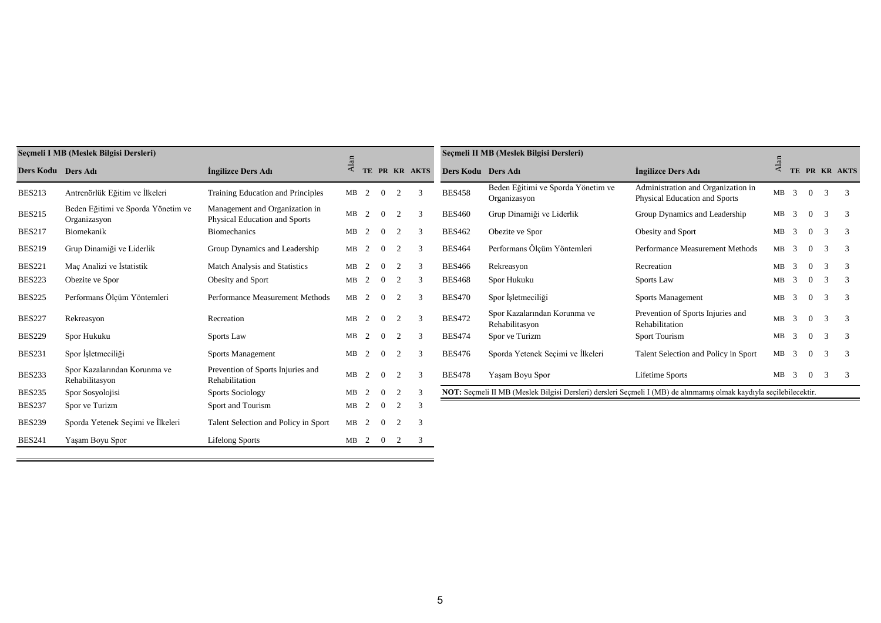|                    | Seçmeli I MB (Meslek Bilgisi Dersleri)             |                                                                 |              |   |                |                |               |                    | Seçmeli II MB (Meslek Bilgisi Dersleri)                                                                            |                                                                     |                    |   |                |               |               |
|--------------------|----------------------------------------------------|-----------------------------------------------------------------|--------------|---|----------------|----------------|---------------|--------------------|--------------------------------------------------------------------------------------------------------------------|---------------------------------------------------------------------|--------------------|---|----------------|---------------|---------------|
| Ders Kodu Ders Adı |                                                    | Ingilizce Ders Adı                                              | $\Delta$ lan |   |                |                | TE PR KR AKTS | Ders Kodu Ders Adı |                                                                                                                    | Ingilizce Ders Adı                                                  | $\overline{A}$ lar |   |                |               | TE PR KR AKTS |
| <b>BES213</b>      | Antrenörlük Eğitim ve İlkeleri                     | Training Education and Principles                               | MB           | 2 | $\Omega$       | 2              | $\mathcal{R}$ | <b>BES458</b>      | Beden Eğitimi ve Sporda Yönetim ve<br>Organizasyon                                                                 | Administration and Organization in<br>Physical Education and Sports | $MB$ 3             |   | $\overline{0}$ | $\mathcal{R}$ | -3            |
| <b>BES215</b>      | Beden Eğitimi ve Sporda Yönetim ve<br>Organizasyon | Management and Organization in<br>Physical Education and Sports | MB           | 2 | $\Omega$       | $\overline{2}$ | $\mathcal{R}$ | <b>BES460</b>      | Grup Dinamiği ve Liderlik                                                                                          | Group Dynamics and Leadership                                       | $MB$ 3             |   | $\overline{0}$ | 3             | 3             |
| <b>BES217</b>      | Biomekanik                                         | <b>Biomechanics</b>                                             | MB           | 2 | $\Omega$       | $\overline{2}$ | 3             | <b>BES462</b>      | Obezite ve Spor                                                                                                    | Obesity and Sport                                                   | $MB$ 3             |   | $\overline{0}$ | 3             | -3            |
| <b>BES219</b>      | Grup Dinamiği ve Liderlik                          | Group Dynamics and Leadership                                   | MB           | 2 | $\Omega$       | $\overline{2}$ | $\mathcal{R}$ | <b>BES464</b>      | Performans Ölçüm Yöntemleri                                                                                        | Performance Measurement Methods                                     | $MB$ 3             |   | $\overline{0}$ | 3             | -3            |
| <b>BES221</b>      | Maç Analizi ve İstatistik                          | <b>Match Analysis and Statistics</b>                            | MB           | 2 | $\Omega$       | $\overline{2}$ | $\mathcal{R}$ | <b>BES466</b>      | Rekreasyon                                                                                                         | Recreation                                                          | $MB$ 3             |   | $\Omega$       | $\mathcal{R}$ | 3             |
| <b>BES223</b>      | Obezite ve Spor                                    | Obesity and Sport                                               | MB           | 2 | $\overline{0}$ | $\overline{2}$ | $\mathcal{R}$ | <b>BES468</b>      | Spor Hukuku                                                                                                        | Sports Law                                                          | MB                 | 3 | $\overline{0}$ | 3             | 3             |
| <b>BES225</b>      | Performans Ölçüm Yöntemleri                        | Performance Measurement Methods                                 | MB           | 2 | $\overline{0}$ | $\overline{2}$ | 3             | <b>BES470</b>      | Spor İşletmeciliği                                                                                                 | Sports Management                                                   | MB                 | 3 | $\overline{0}$ | 3             | -3            |
| <b>BES227</b>      | Rekreasyon                                         | Recreation                                                      | MB           | 2 | $\Omega$       | $\overline{2}$ | 3             | <b>BES472</b>      | Spor Kazalarından Korunma ve<br>Rehabilitasyon                                                                     | Prevention of Sports Injuries and<br>Rehabilitation                 | $MB$ 3             |   | $\overline{0}$ | $\mathcal{R}$ | $\mathcal{R}$ |
| <b>BES229</b>      | Spor Hukuku                                        | Sports Law                                                      | MB           | 2 | $\Omega$       | $\overline{2}$ | $\mathcal{R}$ | <b>BES474</b>      | Spor ve Turizm                                                                                                     | Sport Tourism                                                       | $MB$ 3             |   | $\Omega$       | $\mathcal{E}$ | -3            |
| <b>BES231</b>      | Spor İşletmeciliği                                 | Sports Management                                               | MB           | 2 | $\overline{0}$ | 2              | 3             | <b>BES476</b>      | Sporda Yetenek Seçimi ve İlkeleri                                                                                  | Talent Selection and Policy in Sport                                | MB                 | 3 | $\overline{0}$ | 3             | 3             |
| <b>BES233</b>      | Spor Kazalarından Korunma ve<br>Rehabilitasyon     | Prevention of Sports Injuries and<br>Rehabilitation             | MB           | 2 | $\Omega$       | $\overline{2}$ | $\mathcal{R}$ | <b>BES478</b>      | Yaşam Boyu Spor                                                                                                    | Lifetime Sports                                                     | $MB$ 3             |   | $\overline{0}$ | 3             | -3            |
| <b>BES235</b>      | Spor Sosyolojisi                                   | <b>Sports Sociology</b>                                         | MB           | 2 | $\Omega$       | $\overline{2}$ | 3             |                    | NOT: Seçmeli II MB (Meslek Bilgisi Dersleri) dersleri Seçmeli I (MB) de alınmamış olmak kaydıyla seçilebilecektir. |                                                                     |                    |   |                |               |               |
| <b>BES237</b>      | Spor ve Turizm                                     | Sport and Tourism                                               | MB           | 2 | $\overline{0}$ | 2              | 3             |                    |                                                                                                                    |                                                                     |                    |   |                |               |               |
| <b>BES239</b>      | Sporda Yetenek Seçimi ve İlkeleri                  | Talent Selection and Policy in Sport                            | MB           | 2 | $\overline{0}$ | $\overline{2}$ | 3             |                    |                                                                                                                    |                                                                     |                    |   |                |               |               |
| <b>BES241</b>      | Yaşam Boyu Spor                                    | <b>Lifelong Sports</b>                                          | MB           |   | $2 \quad 0$    | 2              | 3             |                    |                                                                                                                    |                                                                     |                    |   |                |               |               |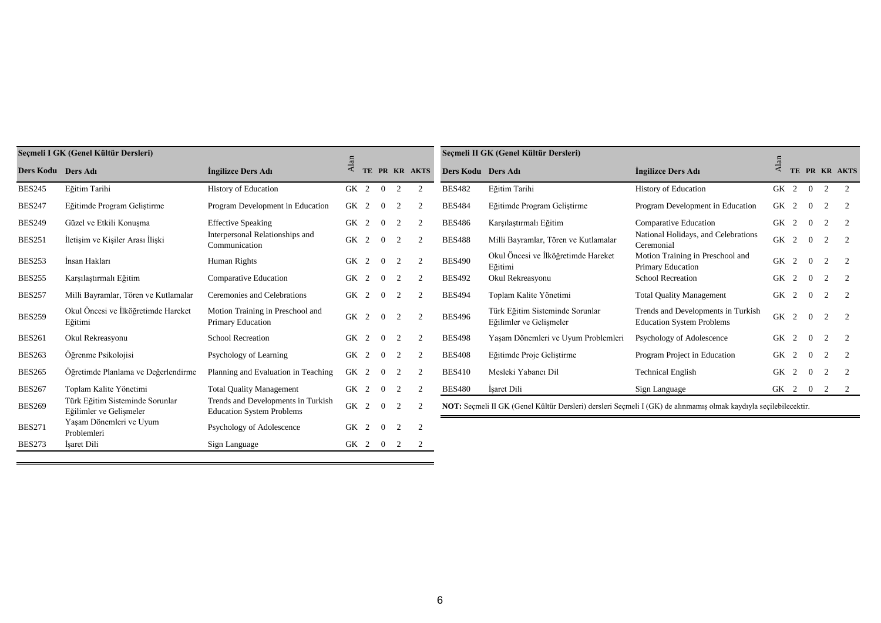|                    | Seçmeli I GK (Genel Kültür Dersleri)                       |                                                                        |           |                |                |                |                |                    | Seçmeli II GK (Genel Kültür Dersleri)                                                                            |                                                                        |                   |   |          |                |                |
|--------------------|------------------------------------------------------------|------------------------------------------------------------------------|-----------|----------------|----------------|----------------|----------------|--------------------|------------------------------------------------------------------------------------------------------------------|------------------------------------------------------------------------|-------------------|---|----------|----------------|----------------|
| Ders Kodu Ders Adı |                                                            | Ingilizce Ders Adı                                                     | $A$ lar   |                |                |                | TE PR KR AKTS  | Ders Kodu Ders Adı |                                                                                                                  | Ingilizce Ders Adı                                                     | $\overline{A}$ la |   |          |                | TE PR KR AKTS  |
| <b>BES245</b>      | Eğitim Tarihi                                              | History of Education                                                   | GK 2      |                | $\overline{0}$ | 2              |                | <b>BES482</b>      | Eğitim Tarihi                                                                                                    | History of Education                                                   | GK 2 0            |   |          | 2              | $\overline{2}$ |
| <b>BES247</b>      | Eğitimde Program Geliştirme                                | Program Development in Education                                       | GK 2      |                | $\Omega$       | $\overline{2}$ |                | <b>BES484</b>      | Eğitimde Program Geliştirme                                                                                      | Program Development in Education                                       | GK 2              |   | $\theta$ | $\mathcal{D}$  |                |
| <b>BES249</b>      | Güzel ve Etkili Konusma                                    | <b>Effective Speaking</b>                                              | <b>GK</b> | 2              |                | 2              | $\overline{2}$ | <b>BES486</b>      | Karşılaştırmalı Eğitim                                                                                           | <b>Comparative Education</b>                                           | GK 2              |   | $\Omega$ | $\mathcal{D}$  | $\overline{2}$ |
| <b>BES251</b>      | İletişim ve Kişiler Arası İlişki                           | Interpersonal Relationships and<br>Communication                       | GK 2      |                | $\Omega$       | 2              | $\gamma$       | <b>BES488</b>      | Milli Bayramlar, Tören ve Kutlamalar                                                                             | National Holidays, and Celebrations<br>Ceremonial                      | <b>GK</b>         | 2 | $\Omega$ | $\gamma$       |                |
| <b>BES253</b>      | İnsan Hakları                                              | Human Rights                                                           | GK 2      |                | $\Omega$       | 2              | $\overline{2}$ | <b>BES490</b>      | Okul Öncesi ve İlköğretimde Hareket<br>Eğitimi                                                                   | Motion Training in Preschool and<br>Primary Education                  | GK 2              |   | $\theta$ | $\mathfrak{D}$ |                |
| <b>BES255</b>      | Karşılaştırmalı Eğitim                                     | <b>Comparative Education</b>                                           | GK        | 2              | $\Omega$       | 2              | 2              | <b>BES492</b>      | Okul Rekreasyonu                                                                                                 | <b>School Recreation</b>                                               | GK 2              |   | $\Omega$ | $\mathcal{D}$  | $\overline{2}$ |
| <b>BES257</b>      | Milli Bayramlar, Tören ve Kutlamalar                       | Ceremonies and Celebrations                                            | GK 2      |                |                | 2              | $\gamma$       | <b>BES494</b>      | Toplam Kalite Yönetimi                                                                                           | <b>Total Quality Management</b>                                        | GK 2              |   | $\Omega$ | $\mathfrak{D}$ |                |
| <b>BES259</b>      | Okul Öncesi ve İlköğretimde Hareket<br>Eğitimi             | Motion Training in Preschool and<br><b>Primary Education</b>           | GK 2      |                | $\Omega$       | 2              | 2              | <b>BES496</b>      | Türk Eğitim Sisteminde Sorunlar<br>Eğilimler ve Gelişmeler                                                       | Trends and Developments in Turkish<br><b>Education System Problems</b> | <b>GK</b>         | 2 | $\theta$ | $\mathfrak{D}$ | 2              |
| <b>BES261</b>      | Okul Rekreasyonu                                           | <b>School Recreation</b>                                               | <b>GK</b> | $\overline{2}$ |                | 2              |                | <b>BES498</b>      | Yasam Dönemleri ve Uyum Problemleri                                                                              | Psychology of Adolescence                                              | GK                | 2 | $\Omega$ | $\gamma$       |                |
| <b>BES263</b>      | Öğrenme Psikolojisi                                        | Psychology of Learning                                                 | GK 2      |                |                | $\overline{c}$ |                | <b>BES408</b>      | Eğitimde Proje Gelistirme                                                                                        | Program Project in Education                                           | GK                | 2 |          |                |                |
| <b>BES265</b>      | Öğretimde Planlama ve Değerlendirme                        | Planning and Evaluation in Teaching                                    | GK 2      |                | $\Omega$       | 2              |                | <b>BES410</b>      | Mesleki Yabancı Dil                                                                                              | <b>Technical English</b>                                               | GK                | 2 | $\Omega$ | $\mathcal{L}$  |                |
| <b>BES267</b>      | Toplam Kalite Yönetimi                                     | <b>Total Quality Management</b>                                        | GK 2      |                | $\Omega$       | 2              | $\overline{2}$ | <b>BES480</b>      | Isaret Dili                                                                                                      | Sign Language                                                          | GK 2 0 2 2        |   |          |                |                |
| <b>BES269</b>      | Türk Eğitim Sisteminde Sorunlar<br>Eğilimler ve Gelişmeler | Trends and Developments in Turkish<br><b>Education System Problems</b> | <b>GK</b> | $\overline{2}$ |                | 2              | $\overline{2}$ |                    | NOT: Seçmeli II GK (Genel Kültür Dersleri) dersleri Seçmeli I (GK) de alınmamış olmak kaydıyla seçilebilecektir. |                                                                        |                   |   |          |                |                |
| <b>BES271</b>      | Yaşam Dönemleri ve Uyum<br>Problemleri                     | Psychology of Adolescence                                              | GK        | 2              | $\Omega$       | 2              | $\overline{2}$ |                    |                                                                                                                  |                                                                        |                   |   |          |                |                |
| <b>BES273</b>      | Isaret Dili                                                | Sign Language                                                          | GK 2      |                | $\overline{0}$ | 2              |                |                    |                                                                                                                  |                                                                        |                   |   |          |                |                |